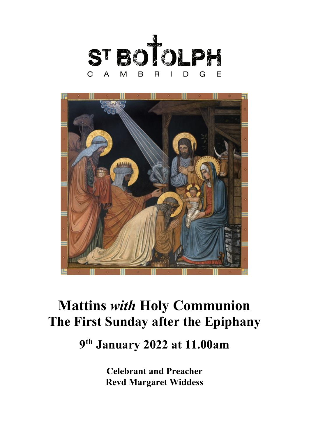



# **Mattins** *with* **Holy Communion The First Sunday after the Epiphany**

# **9th January 2022 at 11.00am**

**Celebrant and Preacher Revd Margaret Widdess**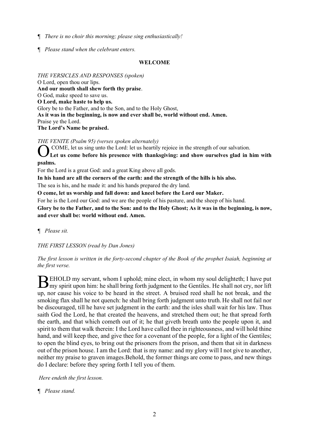- *¶ There is no choir this morning; please sing enthusiastically!*
- *¶ Please stand when the celebrant enters.*

#### **WELCOME**

*THE VERSICLES AND RESPONSES (spoken)* O Lord, open thou our lips. **And our mouth shall shew forth thy praise**. O God, make speed to save us. **O Lord, make haste to help us.**  Glory be to the Father, and to the Son, and to the Holy Ghost, **As it was in the beginning, is now and ever shall be, world without end. Amen.**  Praise ye the Lord. **The Lord's Name be praised.** 

*THE VENITE (Psalm 95) (verses spoken alternately)*

COME, let us sing unto the Lord: let us heartily rejoice in the strength of our salvation.

**Let us come before his presence with thanksgiving: and show ourselves glad in him with psalms.** O

For the Lord is a great God: and a great King above all gods.

**In his hand are all the corners of the earth: and the strength of the hills is his also.**

The sea is his, and he made it: and his hands prepared the dry land.

**O come, let us worship and fall down: and kneel before the Lord our Maker.**

For he is the Lord our God: and we are the people of his pasture, and the sheep of his hand.

**Glory be to the Father, and to the Son: and to the Holy Ghost; As it was in the beginning, is now, and ever shall be: world without end. Amen.**

*¶ Please sit.*

*THE FIRST LESSON (read by Dan Jones)*

*The first lesson is written in the forty-second chapter of the Book of the prophet Isaiah, beginning at the first verse.*

EHOLD my servant, whom I uphold; mine elect, in whom my soul delighteth; I have put BEHOLD my servant, whom I uphold; mine elect, in whom my soul delighteth; I have put my spirit upon him: he shall bring forth judgment to the Gentiles. He shall not cry, nor lift up, nor cause his voice to be heard in the street. A bruised reed shall he not break, and the smoking flax shall he not quench: he shall bring forth judgment unto truth. He shall not fail nor be discouraged, till he have set judgment in the earth: and the isles shall wait for his law. Thus saith God the Lord, he that created the heavens, and stretched them out; he that spread forth the earth, and that which cometh out of it; he that giveth breath unto the people upon it, and spirit to them that walk therein: I the Lord have called thee in righteousness, and will hold thine hand, and will keep thee, and give thee for a covenant of the people, for a light of the Gentiles; to open the blind eyes, to bring out the prisoners from the prison, and them that sit in darkness out of the prison house. I am the Lord: that is my name: and my glory will I not give to another, neither my praise to graven images.Behold, the former things are come to pass, and new things do I declare: before they spring forth I tell you of them.

*Here endeth the first lesson.*

*¶ Please stand.*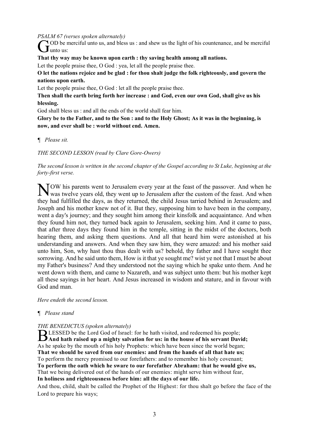*PSALM 67 (verses spoken alternately)*

OD be merciful unto us, and bless us : and shew us the light of his countenance, and be merciful G<sup>OD be r</sup>

**That thy way may be known upon earth : thy saving health among all nations.**

Let the people praise thee, O God : yea, let all the people praise thee.

**O let the nations rejoice and be glad : for thou shalt judge the folk righteously, and govern the nations upon earth.**

Let the people praise thee, O God : let all the people praise thee.

**Then shall the earth bring forth her increase : and God, even our own God, shall give us his blessing.**

God shall bless us : and all the ends of the world shall fear him.

**Glory be to the Father, and to the Son : and to the Holy Ghost; As it was in the beginning, is now, and ever shall be : world without end. Amen.**

*¶ Please sit.*

*THE SECOND LESSON (read by Clare Gore-Owers)*

*The second lesson is written in the second chapter of the Gospel according to St Luke, beginning at the forty-first verse.*

TOW his parents went to Jerusalem every year at the feast of the passover. And when he NOW his parents went to Jerusalem every year at the feast of the passover. And when he was twelve years old, they went up to Jerusalem after the custom of the feast. And when they had fulfilled the days, as they returned, the child Jesus tarried behind in Jerusalem; and Joseph and his mother knew not of it. But they, supposing him to have been in the company, went a day's journey; and they sought him among their kinsfolk and acquaintance. And when they found him not, they turned back again to Jerusalem, seeking him. And it came to pass, that after three days they found him in the temple, sitting in the midst of the doctors, both hearing them, and asking them questions. And all that heard him were astonished at his understanding and answers. And when they saw him, they were amazed: and his mother said unto him, Son, why hast thou thus dealt with us? behold, thy father and I have sought thee sorrowing. And he said unto them, How is it that ye sought me? wist ye not that I must be about my Father's business? And they understood not the saying which he spake unto them. And he went down with them, and came to Nazareth, and was subject unto them: but his mother kept all these sayings in her heart. And Jesus increased in wisdom and stature, and in favour with God and man.

*Here endeth the second lesson.*

# *¶ Please stand*

# *THE BENEDICTUS (spoken alternately)*

LESSED be the Lord God of Israel: for he hath visited, and redeemed his people; **And hath raised up a mighty salvation for us: in the house of his servant David;** As he spake by the mouth of his holy Prophets: which have been since the world began; **That we should be saved from our enemies: and from the hands of all that hate us;** To perform the mercy promised to our forefathers: and to remember his holy covenant; **To perform the oath which he sware to our forefather Abraham: that he would give us,** That we being delivered out of the hands of our enemies: might serve him without fear, **In holiness and righteousness before him: all the days of our life.**

And thou, child, shalt be called the Prophet of the Highest: for thou shalt go before the face of the Lord to prepare his ways;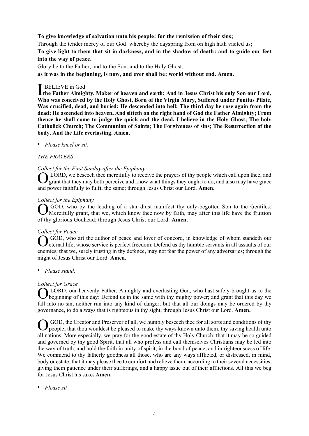**To give knowledge of salvation unto his people: for the remission of their sins;**

Through the tender mercy of our God: whereby the dayspring from on high hath visited us;

**To give light to them that sit in darkness, and in the shadow of death: and to guide our feet into the way of peace.**

Glory be to the Father, and to the Son: and to the Holy Ghost;

**as it was in the beginning, is now, and ever shall be: world without end. Amen.**

# **BELIEVE** in God

**I** BELIEVE in God<br>the Father Almighty, Maker of heaven and earth: And in Jesus Christ his only Son our Lord, **Who was conceived by the Holy Ghost, Born of the Virgin Mary, Suffered under Pontius Pilate, Was crucified, dead, and buried: He descended into hell; The third day he rose again from the dead; He ascended into heaven, And sitteth on the right hand of God the Father Almighty; From thence he shall come to judge the quick and the dead. I believe in the Holy Ghost; The holy Catholick Church; The Communion of Saints; The Forgiveness of sins; The Resurrection of the body, And the Life everlasting. Amen.** 

## *¶ Please kneel or sit.*

## *THE PRAYERS*

## *Collect for the First Sunday after the Epiphany*

LORD, we beseech thee mercifully to receive the prayers of thy people which call upon thee; and grant that they may both perceive and know what things they ought to do, and also may have grace and power faithfully to fulfil the same; through Jesus Christ our Lord. **Amen.** O

## *Collect for the Epiphany*

GOD, who by the leading of a star didst manifest thy only-begotten Son to the Gentiles:<br>Mercifully grant, that we, which know thee now by faith, may after this life have the fruition Mercifully grant, that we, which know thee now by faith, may after this life have the fruition of thy glorious Godhead; through Jesus Christ our Lord. **Amen.**

#### *Collect for Peace*

GOD, who art the author of peace and lover of concord, in knowledge of whom standeth our eternal life, whose service is perfect freedom: Defend us thy humble servants in all assaults of our **P** eternal life, whose service is perfect freedom: Defend us thy humble servants in all assaults of our enemies; that we, surely trusting in thy defence, may not fear the power of any adversaries; through the might of Jesus Christ our Lord. **Amen.**

# *¶ Please stand.*

#### *Collect for Grace*

LORD, our heavenly Father, Almighty and everlasting God, who hast safely brought us to the beginning of this day: Defend us in the same with thy mighty power; and grant that this day we fall into no sin, neither run into any kind of danger; but that all our doings may be ordered by thy governance, to do always that is righteous in thy sight; through Jesus Christ our Lord. **Amen.**  O

GOD, the Creator and Preserver of all, we humbly beseech thee for all sorts and conditions of thy people; that thou wouldest be pleased to make thy ways known unto them, thy saving health unto all nations. More especially, we pray for the good estate of thy Holy Church: that it may be so guided and governed by thy good Spirit, that all who profess and call themselves Christians may be led into the way of truth, and hold the faith in unity of spirit, in the bond of peace, and in righteousness of life. We commend to thy fatherly goodness all those, who are any ways afflicted, or distressed, in mind, body or estate; that it may please thee to comfort and relieve them, according to their several necessities, giving them patience under their sufferings, and a happy issue out of their afflictions. All this we beg for Jesus Christ his sake**. Amen.**  O

#### *¶ Please sit*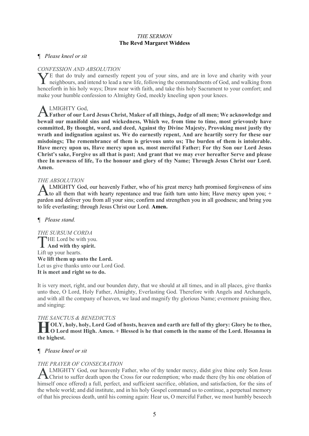#### *THE SERMON* **The Revd Margaret Widdess**

#### *¶ Please kneel or sit*

#### *CONFESSION AND ABSOLUTION*

 $\angle$ E that do truly and earnestly repent you of your sins, and are in love and charity with your The that do truly and earnestly repent you of your sins, and are in love and charity with your neighbours, and intend to lead a new life, following the commandments of God, and walking from henceforth in his holy ways; Draw near with faith, and take this holy Sacrament to your comfort; and make your humble confession to Almighty God, meekly kneeling upon your knees.

# LMIGHTY God,

**A LMIGHTY God,<br>Father of our Lord Jesus Christ, Maker of all things, Judge of all men; We acknowledge and bewail our manifold sins and wickedness, Which we, from time to time, most grievously have committed, By thought, word, and deed, Against thy Divine Majesty, Provoking most justly thy wrath and indignation against us. We do earnestly repent, And are heartily sorry for these our misdoings; The remembrance of them is grievous unto us; The burden of them is intolerable. Have mercy upon us, Have mercy upon us, most merciful Father; For thy Son our Lord Jesus Christ's sake, Forgive us all that is past; And grant that we may ever hereafter Serve and please thee In newness of life, To the honour and glory of thy Name; Through Jesus Christ our Lord. Amen.** 

#### *THE ABSOLUTION*

LMIGHTY God, our heavenly Father, who of his great mercy hath promised forgiveness of sins ALMIGHTY God, our heavenly Father, who of his great mercy hath promised forgiveness of sins to all them that with hearty repentance and true faith turn unto him; Have mercy upon you; + pardon and deliver you from all your sins; confirm and strengthen you in all goodness; and bring you to life everlasting; through Jesus Christ our Lord. **Amen.** 

#### *¶ Please stand.*

*THE SURSUM CORDA* HE Lord be with you. **THE Lord be with you**<br>**And with thy spirit.** Lift up your hearts. **We lift them up unto the Lord.** Let us give thanks unto our Lord God. **It is meet and right so to do.** 

It is very meet, right, and our bounden duty, that we should at all times, and in all places, give thanks unto thee, O Lord, Holy Father, Almighty, Everlasting God. Therefore with Angels and Archangels, and with all the company of heaven, we laud and magnify thy glorious Name; evermore praising thee, and singing:

#### *THE SANCTUS & BENEDICTUS*

**OLY, holy, holy, Lord God of hosts, heaven and earth are full of thy glory: Glory be to thee, <br>
<b>H**O Lord most High. Amen. + Blessed is he that cometh in the name of the Lord. Hosanna in **O Lord most High. Amen. + Blessed is he that cometh in the name of the Lord. Hosanna in the highest.** 

#### *¶ Please kneel or sit*

#### *THE PRAYER OF CONSECRATION*

LMIGHTY God, our heavenly Father, who of thy tender mercy, didst give thine only Son Jesus Christ to suffer death upon the Cross for our redemption; who made there (by his one oblation of himself once offered) a full, perfect, and sufficient sacrifice, oblation, and satisfaction, for the sins of the whole world; and did institute, and in his holy Gospel command us to continue, a perpetual memory of that his precious death, until his coming again: Hear us, O merciful Father, we most humbly beseech A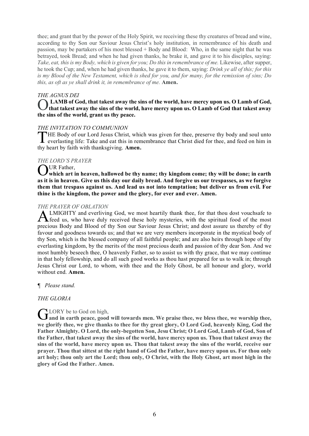thee; and grant that by the power of the Holy Spirit, we receiving these thy creatures of bread and wine, according to thy Son our Saviour Jesus Christ's holy institution, in remembrance of his death and passion, may be partakers of his most blessed + Body and Blood: Who, in the same night that he was betrayed, took Bread; and when he had given thanks, he brake it, and gave it to his disciples, saying: Take, eat, this is my Body, which is given for you; Do this in remembrance of me. Likewise, after supper, he took the Cup; and, when he had given thanks, he gave it to them, saying: *Drink ye all of this; for this is my Blood of the New Testament, which is shed for you, and for many, for the remission of sins; Do this, as oft as ye shall drink it, in remembrance of me.* **Amen.**

#### *THE AGNUS DEI*

**LAMB of God, that takest away the sins of the world, have mercy upon us. O Lamb of God,**  O **that takest away the sins of the world, have mercy upon us. O Lamb of God that takest away the sins of the world, grant us thy peace.** 

#### *THE INVITATION TO COMMUNION*

HE Body of our Lord Jesus Christ, which was given for thee, preserve thy body and soul unto THE Body of our Lord Jesus Christ, which was given for thee, preserve thy body and soul unto everlasting life: Take and eat this in remembrance that Christ died for thee, and feed on him in thy heart by faith with thanksgiving. **Amen.**

#### *THE LORD'S PRAYER*

OUR Father,<br>
Which art i which art in heaven, hallowed be thy name; thy kingdom come; thy will be done; in earth **as it is in heaven. Give us this day our daily bread. And forgive us our trespasses, as we forgive them that trespass against us. And lead us not into temptation; but deliver us from evil. For thine is the kingdom, the power and the glory, for ever and ever. Amen.**

#### *THE PRAYER OF OBLATION*

LMIGHTY and everliving God, we most heartily thank thee, for that thou dost vouchsafe to **ALMIGHTY** and everliving God, we most heartily thank thee, for that thou dost vouchsafe to feed us, who have duly received these holy mysteries, with the spiritual food of the most precious Body and Blood of thy Son our Saviour Jesus Christ; and dost assure us thereby of thy favour and goodness towards us; and that we are very members incorporate in the mystical body of thy Son, which is the blessed company of all faithful people; and are also heirs through hope of thy everlasting kingdom, by the merits of the most precious death and passion of thy dear Son. And we most humbly beseech thee, O heavenly Father, so to assist us with thy grace, that we may continue in that holy fellowship, and do all such good works as thou hast prepared for us to walk in; through Jesus Christ our Lord, to whom, with thee and the Holy Ghost, be all honour and glory, world without end. **Amen.**

*¶ Please stand.*

#### *THE GLORIA*

# LORY be to God on high,

GLORY be to God on high, **Gluerian Containstance with a** we praise thee, we bless thee, we worship thee,  $\overline{\mathbf{G}}$  and in earth peace, good will towards men. We praise thee, we bless thee, we worship thee, **we glorify thee, we give thanks to thee for thy great glory, O Lord God, heavenly King, God the Father Almighty. O Lord, the only-begotten Son, Jesu Christ; O Lord God, Lamb of God, Son of the Father, that takest away the sins of the world, have mercy upon us. Thou that takest away the sins of the world, have mercy upon us. Thou that takest away the sins of the world, receive our prayer. Thou that sittest at the right hand of God the Father, have mercy upon us. For thou only art holy; thou only art the Lord; thou only, O Christ, with the Holy Ghost, art most high in the glory of God the Father. Amen.**